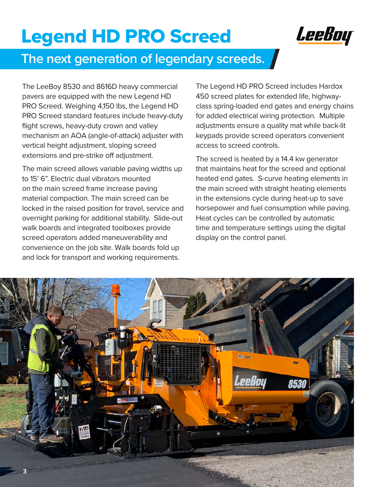# Legend HD PRO Screed



## **The next generation of legendary screeds.**

The LeeBoy 8530 and 8616D heavy commercial pavers are equipped with the new Legend HD PRO Screed. Weighing 4,150 lbs, the Legend HD PRO Screed standard features include heavy-duty flight screws, heavy-duty crown and valley mechanism an AOA (angle-of-attack) adjuster with vertical height adjustment, sloping screed extensions and pre-strike off adjustment.

The main screed allows variable paving widths up to 15' 6". Electric dual vibrators mounted on the main screed frame increase paving material compaction. The main screed can be locked in the raised position for travel, service and overnight parking for additional stability. Slide-out walk boards and integrated toolboxes provide screed operators added maneuverability and convenience on the job site. Walk boards fold up and lock for transport and working requirements.

The Legend HD PRO Screed includes Hardox 450 screed plates for extended life, highwayclass spring-loaded end gates and energy chains for added electrical wiring protection. Multiple adjustments ensure a quality mat while back-lit keypads provide screed operators convenient access to screed controls.

The screed is heated by a 14.4 kw generator that maintains heat for the screed and optional heated end gates. S-curve heating elements in the main screed with straight heating elements in the extensions cycle during heat-up to save horsepower and fuel consumption while paving. Heat cycles can be controlled by automatic time and temperature settings using the digital display on the control panel.